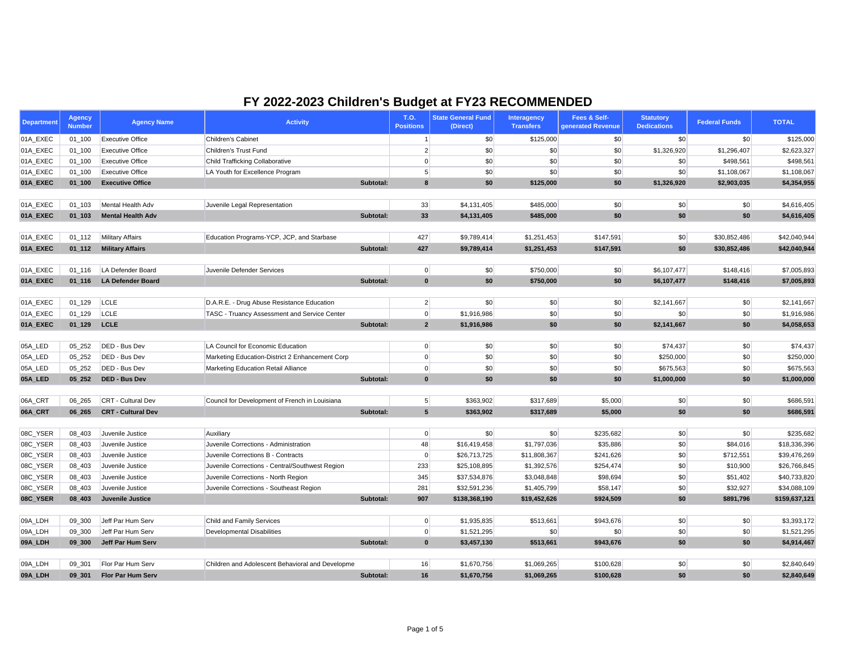| <b>Department</b>    | <b>Agency</b><br><b>Number</b> | <b>Agency Name</b>                          | <b>Activity</b>                                     |           | <b>T.O.</b><br><b>Positions</b> | <b>State General Fund</b><br>(Direct) | Interagency<br><b>Transfers</b> | Fees & Self-<br>generated Revenue | <b>Statutory</b><br><b>Dedications</b> | <b>Federal Funds</b>  | <b>TOTAL</b>                  |
|----------------------|--------------------------------|---------------------------------------------|-----------------------------------------------------|-----------|---------------------------------|---------------------------------------|---------------------------------|-----------------------------------|----------------------------------------|-----------------------|-------------------------------|
| 01A_EXEC             | $01 - 100$                     | <b>Executive Office</b>                     | Children's Cabinet                                  |           |                                 | \$0                                   | \$125,000                       | \$0                               | \$0                                    | \$0                   | \$125,000                     |
| 01A_EXEC             | $01 - 100$                     | <b>Executive Office</b>                     | Children's Trust Fund                               |           | 2                               | \$0                                   | \$0                             | \$0                               | \$1,326,920                            | \$1,296,407           | \$2,623,327                   |
| 01A_EXEC             | $01 - 100$                     | <b>Executive Office</b>                     | <b>Child Trafficking Collaborative</b>              |           | 0                               | \$0                                   | \$0                             | \$0                               | \$0                                    | \$498,561             | \$498,561                     |
| 01A_EXEC             | $01 - 100$                     | <b>Executive Office</b>                     | LA Youth for Excellence Program                     |           | 5 <sup>2</sup>                  | \$0                                   | \$0                             | \$0                               | \$0                                    | \$1,108,067           | \$1,108,067                   |
| 01A_EXEC             | $01_100$                       | <b>Executive Office</b>                     |                                                     | Subtotal: | $\boldsymbol{8}$                | \$0                                   | \$125,000                       | \$0                               | \$1,326,920                            | \$2,903,035           | \$4,354,955                   |
| 01A_EXEC             | $01 - 103$                     | Mental Health Adv                           | Juvenile Legal Representation                       |           | 33                              | \$4,131,405                           | \$485,000                       | \$0                               | \$0                                    | $ $ \$0               | \$4,616,405                   |
| 01A_EXEC             | $01 - 103$                     | <b>Mental Health Adv</b>                    |                                                     | Subtotal: | 33                              | \$4,131,405                           | \$485,000                       | \$0                               | \$0                                    | \$0                   | \$4,616,405                   |
|                      |                                |                                             |                                                     |           |                                 |                                       |                                 |                                   |                                        |                       |                               |
| 01A_EXEC             | $01 - 112$                     | <b>Military Affairs</b>                     | Education Programs-YCP, JCP, and Starbase           |           | 427                             | \$9,789,414                           | \$1,251,453                     | \$147,591                         | \$0                                    | \$30,852,486          | \$42,040,944                  |
| 01A_EXEC             | $01_112$                       | <b>Military Affairs</b>                     |                                                     | Subtotal: | 427                             | \$9,789,414                           | \$1,251,453                     | \$147,591                         | \$0                                    | \$30,852,486          | \$42,040,944                  |
| 01A_EXEC             | $01 - 116$                     | LA Defender Board                           | Juvenile Defender Services                          |           | 0                               | \$0                                   | \$750,000                       | \$0                               | \$6,107,477                            | \$148,416             | \$7,005,893                   |
| 01A_EXEC             | $01 - 116$                     | <b>LA Defender Board</b>                    |                                                     | Subtotal: | $\mathbf{0}$                    | \$0                                   | \$750,000                       | \$0                               | \$6,107,477                            | \$148,416             | \$7,005,893                   |
|                      |                                |                                             |                                                     |           |                                 |                                       |                                 |                                   |                                        |                       |                               |
| 01A_EXEC             | $01 - 129$                     | LCLE                                        | D.A.R.E. - Drug Abuse Resistance Education          |           | $2\vert$                        | \$0                                   | \$0                             | \$0                               | \$2,141,667                            | $ $ \$0               | \$2,141,667                   |
| 01A_EXEC             | $01 - 129$                     | LCLE                                        | <b>TASC - Truancy Assessment and Service Center</b> |           | 0                               | \$1,916,986                           | \$0                             | \$0                               | \$0                                    | \$0                   | \$1,916,986                   |
| 01A_EXEC             | $01 - 129$                     | <b>LCLE</b>                                 |                                                     | Subtotal: | $\overline{2}$                  | \$1,916,986                           | \$0                             | \$0                               | \$2,141,667                            | \$0                   | \$4,058,653                   |
|                      |                                |                                             |                                                     |           |                                 |                                       |                                 |                                   |                                        |                       |                               |
| 05A_LED              | 05 252                         | DED - Bus Dev                               | LA Council for Economic Education                   |           | 0                               | \$0                                   | \$0                             | \$0                               | \$74,437                               | \$0                   | \$74,437                      |
| 05A_LED              | 05_252                         | DED - Bus Dev                               | Marketing Education-District 2 Enhancement Corp     |           | 0                               | \$0                                   | \$0                             | \$0                               | \$250,000                              | \$0                   | \$250,000                     |
| 05A_LED              | 05_252                         | DED - Bus Dev                               | Marketing Education Retail Alliance                 |           | 0                               | \$0                                   | \$0                             | \$0                               | \$675,563                              | \$0                   | \$675,563                     |
| 05A_LED              | 05 252                         | <b>DED - Bus Dev</b>                        |                                                     | Subtotal: | $\mathbf{0}$                    | \$0                                   | \$0                             | \$0                               | \$1,000,000                            | \$0                   | \$1,000,000                   |
| 06A_CRT              | 06 265                         | CRT - Cultural Dev                          | Council for Development of French in Louisiana      |           | 5 <sup>2</sup>                  | \$363,902                             | \$317,689                       | \$5,000                           | \$0                                    | $\vert \$\infty$      | \$686,591                     |
| 06A_CRT              | 06 265                         | <b>CRT - Cultural Dev</b>                   |                                                     | Subtotal: | 5 <sub>5</sub>                  | \$363,902                             | \$317,689                       | \$5,000                           | \$0                                    | \$0                   | \$686,591                     |
|                      |                                |                                             |                                                     |           |                                 |                                       |                                 |                                   |                                        |                       |                               |
| 08C_YSER             | 08_403                         | Juvenile Justice                            | Auxiliary                                           |           | 0                               | \$0                                   | \$0                             | \$235,682                         | \$0                                    | \$0                   | \$235,682                     |
| 08C_YSER             | 08_403                         | Juvenile Justice                            | Juvenile Corrections - Administration               |           | 48                              | \$16,419,458                          | \$1,797,036                     | \$35,886                          | \$0                                    | \$84,016              | \$18,336,396                  |
| 08C_YSER             | 08_403                         | Juvenile Justice                            | Juvenile Corrections B - Contracts                  |           | 0                               | \$26,713,725                          | \$11,808,367                    | \$241,626                         | \$0                                    | \$712,551             | \$39,476,269                  |
| 08C_YSER             | 08_403                         | Juvenile Justice                            | Juvenile Corrections - Central/Southwest Region     |           | 233                             | \$25,108,895                          | \$1,392,576                     | \$254,474                         | \$0                                    | \$10,900              | \$26,766,845                  |
| 08C_YSER             | 08_403                         | Juvenile Justice                            | Juvenile Corrections - North Region                 |           | 345                             | \$37,534,876                          | \$3,048,848                     | \$98,694                          | \$0                                    | \$51,402              | \$40,733,820                  |
| 08C_YSER<br>08C_YSER | 08_403<br>08_403               | Juvenile Justice<br><b>Juvenile Justice</b> | Juvenile Corrections - Southeast Region             | Subtotal: | 281<br>907                      | \$32,591,236<br>\$138,368,190         | \$1,405,799<br>\$19,452,626     | \$58,147<br>\$924,509             | \$0<br>\$0                             | \$32,927<br>\$891,796 | \$34,088,109<br>\$159,637,121 |
|                      |                                |                                             |                                                     |           |                                 |                                       |                                 |                                   |                                        |                       |                               |
| 09A_LDH              | 09_300                         | Jeff Par Hum Serv                           | Child and Family Services                           |           | 0                               | \$1,935,835                           | \$513,661                       | \$943,676                         | \$0                                    | \$0                   | \$3,393,172                   |
| 09A_LDH              | 09_300                         | Jeff Par Hum Serv                           | <b>Developmental Disabilities</b>                   |           | 0                               | \$1,521,295                           | \$0                             | \$0                               | \$0                                    | \$0                   | \$1,521,295                   |
| 09A_LDH              | 09_300                         | Jeff Par Hum Serv                           |                                                     | Subtotal: | $\mathbf{0}$                    | \$3,457,130                           | \$513,661                       | \$943,676                         | \$0                                    | \$0                   | \$4,914,467                   |
| 09A_LDH              | 09_301                         | Flor Par Hum Serv                           | Children and Adolescent Behavioral and Developme    |           | 16                              | \$1,670,756                           | \$1,069,265                     | \$100,628                         | \$0                                    | $ $ \$0               | \$2,840,649                   |
| 09A_LDH              | 09 301                         | <b>Flor Par Hum Serv</b>                    |                                                     | Subtotal: | 16                              | \$1,670,756                           | \$1,069,265                     | \$100,628                         | \$0                                    | \$0                   | \$2,840,649                   |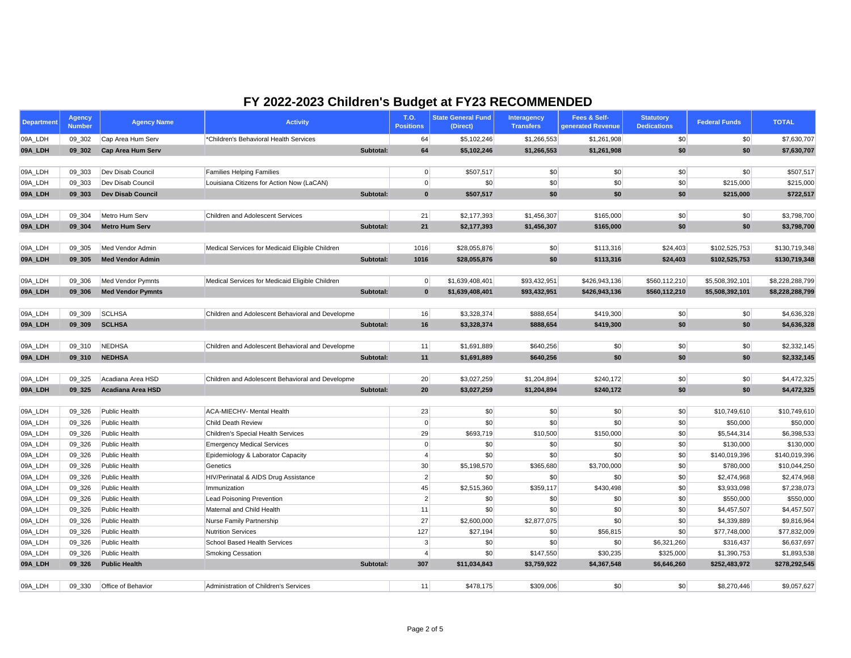| <b>Department</b> | <b>Agency</b><br><b>Number</b> | <b>Agency Name</b>       | <b>Activity</b>                                  |           | <b>T.O.</b><br><b>Positions</b> | <b>State General Fund</b><br>(Direct) | <b>Interagency</b><br><b>Transfers</b> | Fees & Self-<br>generated Revenue | <b>Statutory</b><br><b>Dedications</b> | <b>Federal Funds</b> | <b>TOTAL</b>    |
|-------------------|--------------------------------|--------------------------|--------------------------------------------------|-----------|---------------------------------|---------------------------------------|----------------------------------------|-----------------------------------|----------------------------------------|----------------------|-----------------|
| 09A_LDH           | 09_302                         | Cap Area Hum Serv        | *Children's Behavioral Health Services           |           | 64                              | \$5,102,246                           | \$1,266,553                            | \$1,261,908                       | \$0                                    | \$0                  | \$7,630,707     |
| 09A_LDH           | 09 302                         | <b>Cap Area Hum Serv</b> |                                                  | Subtotal: | 64                              | \$5,102,246                           | \$1,266,553                            | \$1,261,908                       | \$0                                    | \$0                  | \$7,630,707     |
|                   |                                |                          |                                                  |           |                                 |                                       |                                        |                                   |                                        |                      |                 |
| 09A_LDH           | 09 303                         | Dev Disab Council        | <b>Families Helping Families</b>                 |           | 0                               | \$507,517                             | \$0                                    | \$0                               | \$0                                    | \$0                  | \$507,517       |
| 09A_LDH           | 09_303                         | Dev Disab Council        | Louisiana Citizens for Action Now (LaCAN)        |           | 0                               | \$0                                   | $\boldsymbol{\mathsf{S}}$              | \$0                               | \$0                                    | \$215,000            | \$215,000       |
| 09A_LDH           | 09 303                         | <b>Dev Disab Council</b> |                                                  | Subtotal: | $\mathbf{0}$                    | \$507,517                             | \$0                                    | \$0                               | \$0                                    | \$215,000            | \$722,517       |
|                   |                                |                          |                                                  |           |                                 |                                       |                                        |                                   |                                        |                      |                 |
| 09A_LDH           | 09_304                         | Metro Hum Serv           | <b>Children and Adolescent Services</b>          |           | 21                              | \$2,177,393                           | \$1,456,307                            | \$165,000                         | \$0                                    | \$0                  | \$3,798,700     |
| 09A_LDH           | 09 304                         | <b>Metro Hum Serv</b>    |                                                  | Subtotal: | 21                              | \$2,177,393                           | \$1,456,307                            | \$165,000                         | \$0                                    | \$0                  | \$3,798,700     |
|                   |                                |                          |                                                  |           |                                 |                                       |                                        |                                   |                                        |                      |                 |
| 09A_LDH           | 09_305                         | Med Vendor Admin         | Medical Services for Medicaid Eligible Children  |           | 1016                            | \$28,055,876                          | \$0                                    | \$113,316                         | \$24,403                               | \$102,525,753        | \$130,719,348   |
| 09A_LDH           | 09 305                         | <b>Med Vendor Admin</b>  |                                                  | Subtotal: | 1016                            | \$28,055,876                          | \$0                                    | \$113,316                         | \$24,403                               | \$102,525,753        | \$130,719,348   |
|                   |                                |                          |                                                  |           |                                 |                                       |                                        |                                   |                                        |                      |                 |
| 09A_LDH           | 09_306                         | Med Vendor Pymnts        | Medical Services for Medicaid Eligible Children  |           | 0                               | \$1,639,408,401                       | \$93,432,951                           | \$426,943,136                     | \$560,112,210                          | \$5,508,392,101      | \$8,228,288,799 |
| 09A_LDH           | 09 306                         | <b>Med Vendor Pymnts</b> |                                                  | Subtotal: | $\mathbf{0}$                    | \$1,639,408,401                       | \$93,432,951                           | \$426,943,136                     | \$560,112,210                          | \$5,508,392,101      | \$8,228,288,799 |
|                   |                                |                          |                                                  |           |                                 |                                       |                                        |                                   |                                        |                      |                 |
| 09A_LDH           | 09 309                         | <b>SCLHSA</b>            | Children and Adolescent Behavioral and Developme |           | 16                              | \$3,328,374                           | \$888,654                              | \$419,300                         | \$0                                    | \$0                  | \$4,636,328     |
| 09A_LDH           | 09_309                         | <b>SCLHSA</b>            |                                                  | Subtotal: | 16                              | \$3,328,374                           | \$888,654                              | \$419,300                         | \$0                                    | \$0                  | \$4,636,328     |
|                   |                                |                          |                                                  |           |                                 |                                       |                                        |                                   |                                        |                      |                 |
| 09A_LDH           | 09 310                         | NEDHSA                   | Children and Adolescent Behavioral and Developme |           | 11                              | \$1,691,889                           | \$640,256                              | \$0                               | \$0                                    | \$0                  | \$2,332,145     |
| 09A_LDH           | 09_310                         | <b>NEDHSA</b>            |                                                  | Subtotal: | 11                              | \$1,691,889                           | \$640,256                              | \$0                               | \$0                                    | \$0                  | \$2,332,145     |
|                   |                                |                          |                                                  |           |                                 |                                       |                                        |                                   |                                        |                      |                 |
| 09A_LDH           | 09 325                         | Acadiana Area HSD        | Children and Adolescent Behavioral and Developme |           | 20                              | \$3,027,259                           | \$1,204,894                            | \$240,172                         | \$0                                    | \$0                  | \$4,472,325     |
| 09A_LDH           | 09 325                         | <b>Acadiana Area HSD</b> |                                                  | Subtotal: | 20                              | \$3,027,259                           | \$1,204,894                            | \$240,172                         | \$0                                    | \$0                  | \$4,472,325     |
|                   |                                |                          |                                                  |           |                                 |                                       |                                        |                                   |                                        |                      |                 |
| 09A_LDH           | 09 326                         | Public Health            | <b>ACA-MIECHV- Mental Health</b>                 |           | 23                              | \$0                                   | \$0                                    | \$0                               | \$0                                    | \$10,749,610         | \$10,749,610    |
| 09A_LDH           | 09_326                         | Public Health            | <b>Child Death Review</b>                        |           | 0                               | \$0                                   | $\boldsymbol{\mathsf{S}}$              | \$0                               | \$0                                    | \$50,000             | \$50,000        |
| 09A_LDH           | 09_326                         | Public Health            | Children's Special Health Services               |           | 29                              | \$693,719                             | \$10,500                               | \$150,000                         | \$0                                    | \$5,544,314          | \$6,398,533     |
| 09A_LDH           | 09_326                         | Public Health            | <b>Emergency Medical Services</b>                |           | $\overline{0}$                  | \$0                                   | \$0                                    | \$0                               | \$0                                    | \$130,000            | \$130,000       |
| 09A_LDH           | 09_326                         | Public Health            | Epidemiology & Laborator Capacity                |           | 4                               | \$0                                   | \$0                                    | \$0                               | \$0                                    | \$140,019,396        | \$140,019,396   |
| 09A_LDH           | 09_326                         | Public Health            | Genetics                                         |           | 30                              | \$5,198,570                           | \$365,680                              | \$3,700,000                       | \$0                                    | \$780,000            | \$10,044,250    |
| 09A_LDH           | 09_326                         | Public Health            | HIV/Perinatal & AIDS Drug Assistance             |           | 2                               | \$0                                   | \$0 <sub>1</sub>                       | \$0                               | \$0                                    | \$2,474,968          | \$2,474,968     |
| 09A_LDH           | 09_326                         | Public Health            | Immunization                                     |           | 45                              | \$2,515,360                           | \$359,117                              | \$430,498                         | \$0                                    | \$3,933,098          | \$7,238,073     |
| 09A_LDH           | 09_326                         | Public Health            | <b>Lead Poisoning Prevention</b>                 |           | $\mathbf{2}$                    | \$0                                   | \$0 <sub>1</sub>                       | \$0                               | \$0                                    | \$550,000            | \$550,000       |
| 09A_LDH           | 09_326                         | Public Health            | Maternal and Child Health                        |           | 11                              | \$0                                   | \$0                                    | \$0                               | \$0                                    | \$4,457,507          | \$4,457,507     |
| 09A_LDH           | 09_326                         | Public Health            | Nurse Family Partnership                         |           | 27                              | \$2,600,000                           | \$2,877,075                            | \$0                               | \$0                                    | \$4,339,889          | \$9,816,964     |
| 09A_LDH           | 09_326                         | Public Health            | <b>Nutrition Services</b>                        |           | 127                             | \$27,194                              | \$0                                    | \$56,815                          | \$0                                    | \$77,748,000         | \$77,832,009    |
| 09A_LDH           | 09_326                         | Public Health            | <b>School Based Health Services</b>              |           | $\mathbf{3}$                    | \$0                                   | \$0                                    | \$0                               | \$6,321,260                            | \$316,437            | \$6,637,697     |
| 09A_LDH           | 09_326                         | Public Health            | <b>Smoking Cessation</b>                         |           | 4                               | \$0                                   | \$147,550                              | \$30,235                          | \$325,000                              | \$1,390,753          | \$1,893,538     |
| 09A_LDH           | 09_326                         | <b>Public Health</b>     |                                                  | Subtotal: | 307                             | \$11,034,843                          | \$3,759,922                            | \$4,367,548                       | \$6,646,260                            | \$252,483,972        | \$278,292,545   |
|                   |                                |                          |                                                  |           |                                 |                                       |                                        |                                   |                                        |                      |                 |
| 09A_LDH           | 09_330                         | Office of Behavior       | Administration of Children's Services            |           | 11                              | \$478,175                             | \$309,006                              | \$0                               | \$0                                    | \$8,270,446          | \$9,057,627     |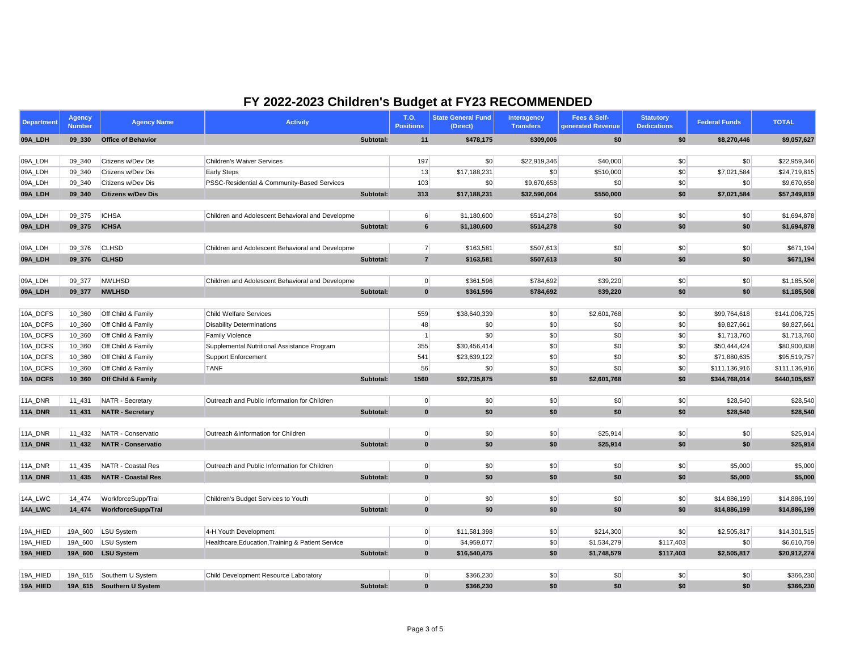| <b>Department</b> | <b>Agency</b><br><b>Number</b> | <b>Agency Name</b>            | <b>Activity</b>                                   |           | <b>T.O.</b><br><b>Positions</b> | <b>State General Fund</b><br>(Direct) | <b>Interagency</b><br><b>Transfers</b> | Fees & Self-<br>generated Revenue | <b>Statutory</b><br><b>Dedications</b> | <b>Federal Funds</b> | <b>TOTAL</b>  |
|-------------------|--------------------------------|-------------------------------|---------------------------------------------------|-----------|---------------------------------|---------------------------------------|----------------------------------------|-----------------------------------|----------------------------------------|----------------------|---------------|
| 09A_LDH           | 09 330                         | <b>Office of Behavior</b>     |                                                   | Subtotal: | 11                              | \$478,175                             | \$309,006                              | \$0                               | \$0                                    | \$8,270,446          | \$9,057,627   |
|                   |                                |                               |                                                   |           |                                 |                                       |                                        |                                   |                                        |                      |               |
| 09A_LDH           | 09_340                         | Citizens w/Dev Dis            | <b>Children's Waiver Services</b>                 |           | 197                             | \$0                                   | \$22,919,346                           | \$40,000                          | \$0                                    | \$0                  | \$22,959,346  |
| 09A_LDH           | 09_340                         | Citizens w/Dev Dis            | <b>Early Steps</b>                                |           | 13                              | \$17,188,231                          | \$0                                    | \$510,000                         | \$0                                    | \$7,021,584          | \$24,719,815  |
| 09A_LDH           | 09_340                         | Citizens w/Dev Dis            | PSSC-Residential & Community-Based Services       |           | 103                             | \$0                                   | \$9,670,658                            | \$0                               | \$0                                    | \$0                  | \$9,670,658   |
| 09A_LDH           | 09 340                         | <b>Citizens w/Dev Dis</b>     |                                                   | Subtotal: | 313                             | \$17,188,231                          | \$32,590,004                           | \$550,000                         | \$0                                    | \$7,021,584          | \$57,349,819  |
| 09A_LDH           | 09_375                         | <b>ICHSA</b>                  | Children and Adolescent Behavioral and Developme  |           | $6 \mid$                        | \$1,180,600                           | \$514,278                              | \$0                               | \$0                                    | \$0                  | \$1,694,878   |
| 09A_LDH           | 09_375                         | <b>ICHSA</b>                  |                                                   | Subtotal: | 6 <sup>1</sup>                  | \$1,180,600                           | \$514,278                              | \$0                               | \$0                                    | \$0                  | \$1,694,878   |
|                   |                                |                               |                                                   |           |                                 |                                       |                                        |                                   |                                        |                      |               |
| 09A_LDH           | 09_376                         | <b>CLHSD</b>                  | Children and Adolescent Behavioral and Developme  |           | 7                               | \$163,581                             | \$507,613                              | \$0                               | \$0                                    | $\vert \$\infty$     | \$671,194     |
| 09A_LDH           | 09_376                         | <b>CLHSD</b>                  |                                                   | Subtotal: | $\overline{7}$                  | \$163,581                             | \$507,613                              | \$0                               | \$0                                    | \$0                  | \$671,194     |
|                   |                                |                               |                                                   |           |                                 |                                       |                                        |                                   |                                        |                      |               |
| 09A_LDH           | 09 377                         | <b>NWLHSD</b>                 | Children and Adolescent Behavioral and Developme  |           | 0                               | \$361,596                             | \$784,692                              | \$39,220                          | \$0                                    | $\vert \$\infty$     | \$1,185,508   |
| 09A_LDH           | 09_377                         | <b>NWLHSD</b>                 |                                                   | Subtotal: | $\mathbf{0}$                    | \$361,596                             | \$784,692                              | \$39,220                          | \$0                                    | \$0                  | \$1,185,508   |
|                   |                                |                               |                                                   |           |                                 |                                       |                                        |                                   |                                        |                      |               |
| 10A_DCFS          | 10_360                         | Off Child & Family            | <b>Child Welfare Services</b>                     |           | 559                             | \$38,640,339                          | \$0                                    | \$2,601,768                       | \$0                                    | \$99,764,618         | \$141,006,725 |
| 10A_DCFS          | 10_360                         | Off Child & Family            | <b>Disability Determinations</b>                  |           | 48                              | \$0                                   | $\boldsymbol{\mathsf{S}}$              | \$0                               | \$0                                    | \$9,827,661          | \$9,827,661   |
| 10A_DCFS          | 10_360                         | Off Child & Family            | <b>Family Violence</b>                            |           | $\overline{1}$                  | \$0                                   | \$0                                    | \$0                               | \$0                                    | \$1,713,760          | \$1,713,760   |
| 10A_DCFS          | 10_360                         | Off Child & Family            | Supplemental Nutritional Assistance Program       |           | 355                             | \$30,456,414                          | \$0                                    | \$0                               | \$0                                    | \$50,444,424         | \$80,900,838  |
| 10A_DCFS          | 10_360                         | Off Child & Family            | Support Enforcement                               |           | 541                             | \$23,639,122                          | \$0                                    | \$0                               | \$0                                    | \$71,880,635         | \$95,519,757  |
| 10A_DCFS          | 10_360                         | Off Child & Family            | <b>TANF</b>                                       |           | 56                              | \$0                                   | \$0                                    | \$0                               | \$0                                    | \$111,136,916        | \$111,136,916 |
| 10A_DCFS          | 10_360                         | <b>Off Child &amp; Family</b> |                                                   | Subtotal: | 1560                            | \$92,735,875                          | \$0                                    | \$2,601,768                       | \$0                                    | \$344,768,014        | \$440,105,657 |
| 11A_DNR           | 11_431                         | NATR - Secretary              | Outreach and Public Information for Children      |           | 0                               | \$0                                   | \$0                                    | \$0                               | \$0                                    | \$28,540             | \$28,540      |
| 11A_DNR           | 11_431                         | <b>NATR - Secretary</b>       |                                                   | Subtotal: | $\mathbf{0}$                    | \$0                                   | \$0                                    | \$0                               | \$0                                    | \$28,540             | \$28,540      |
|                   |                                |                               |                                                   |           |                                 |                                       |                                        |                                   |                                        |                      |               |
| 11A_DNR           | 11_432                         | NATR - Conservatio            | Outreach &Information for Children                |           | 0                               | \$0                                   | \$0                                    | \$25,914                          | \$0                                    | \$0                  | \$25,914      |
| 11A_DNR           | $11_432$                       | <b>NATR - Conservatio</b>     |                                                   | Subtotal: | $\mathbf{0}$                    | \$0                                   | \$0                                    | \$25,914                          | \$0                                    | \$0                  | \$25,914      |
|                   |                                |                               |                                                   |           |                                 |                                       |                                        |                                   |                                        |                      |               |
| 11A_DNR           | 11_435                         | NATR - Coastal Res            | Outreach and Public Information for Children      |           | 0                               | \$0                                   | \$0                                    | \$0                               | \$0                                    | \$5,000              | \$5,000       |
| 11A_DNR           | $11_435$                       | <b>NATR - Coastal Res</b>     |                                                   | Subtotal: | $\mathbf{0}$                    | \$0                                   | \$0                                    | \$0                               | \$0                                    | \$5,000              | \$5,000       |
| 14A_LWC           | 14_474                         | WorkforceSupp/Trai            | Children's Budget Services to Youth               |           | 0                               | $ $ \$0                               | \$0                                    | $ $ \$0                           | \$0                                    | \$14,886,199         | \$14,886,199  |
| 14A_LWC           | 14_474                         | WorkforceSupp/Trai            |                                                   | Subtotal: | $\mathbf{0}$                    | \$0                                   | \$0                                    | \$0                               | \$0                                    | \$14,886,199         | \$14,886,199  |
|                   |                                |                               |                                                   |           |                                 |                                       |                                        |                                   |                                        |                      |               |
| 19A_HIED          | 19A_600                        | LSU System                    | 4-H Youth Development                             |           | 0                               | \$11,581,398                          | \$0                                    | \$214,300                         | \$0                                    | \$2,505,817          | \$14,301,515  |
| 19A_HIED          | 19A_600                        | LSU System                    | Healthcare, Education, Training & Patient Service |           | 0                               | \$4,959,077                           | \$0                                    | \$1,534,279                       | \$117,403                              | \$0                  | \$6,610,759   |
| 19A_HIED          |                                | 19A_600 LSU System            |                                                   | Subtotal: | $\mathbf{0}$                    | \$16,540,475                          | \$0                                    | \$1,748,579                       | \$117,403                              | \$2,505,817          | \$20,912,274  |
| 19A_HIED          |                                | 19A_615 Southern U System     | Child Development Resource Laboratory             |           |                                 | \$366,230                             | \$0                                    |                                   | \$0                                    | $ $ \$0              | \$366,230     |
| 19A_HIED          |                                | 19A_615 Southern U System     |                                                   | Subtotal: | 0 <br>$\mathbf{0}$              | \$366,230                             |                                        | \$0                               |                                        |                      | \$366,230     |
|                   |                                |                               |                                                   |           |                                 |                                       | \$0                                    | \$0                               | \$0                                    | \$0                  |               |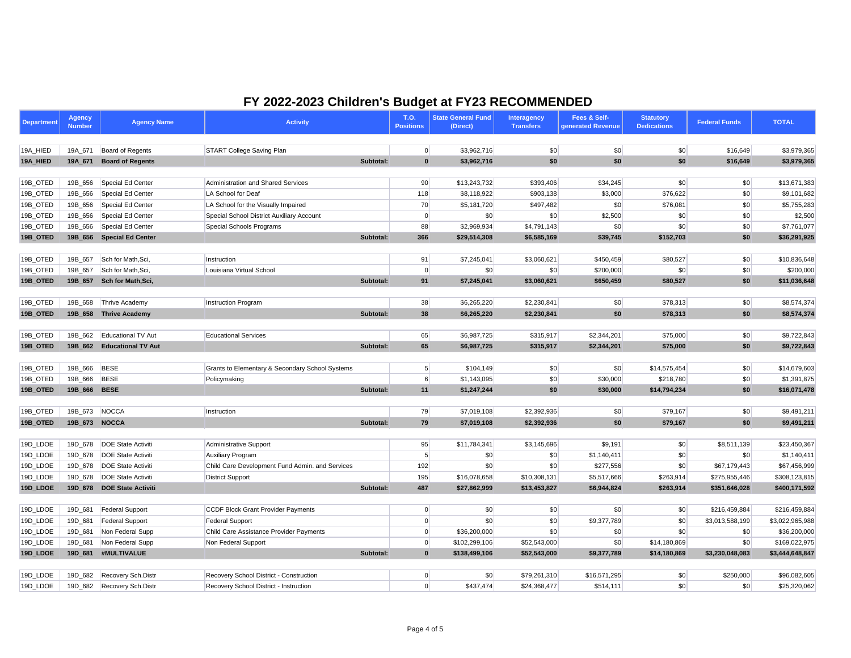| <b>Department</b> | <b>Agency</b><br><b>Number</b> | <b>Agency Name</b>           | <b>Activity</b>                                 | <b>T.O.</b><br><b>Positions</b> | <b>State General Fund</b><br>(Direct) | <b>Interagency</b><br><b>Transfers</b> | Fees & Self-<br>generated Revenue | <b>Statutory</b><br><b>Dedications</b> | <b>Federal Funds</b> | <b>TOTAL</b>    |
|-------------------|--------------------------------|------------------------------|-------------------------------------------------|---------------------------------|---------------------------------------|----------------------------------------|-----------------------------------|----------------------------------------|----------------------|-----------------|
|                   |                                |                              |                                                 |                                 |                                       |                                        |                                   |                                        |                      |                 |
| 19A_HIED          | 19A_671                        | Board of Regents             | <b>START College Saving Plan</b>                |                                 | \$3,962,716<br> 0                     | \$0                                    | \$0                               | \$0                                    | \$16,649             | \$3,979,365     |
| 19A_HIED          | 19A_671                        | <b>Board of Regents</b>      | Subtotal:                                       |                                 | $\mathbf{0}$<br>\$3,962,716           | \$0                                    | \$0                               | \$0                                    | \$16,649             | \$3,979,365     |
| 19B_OTED          | 19B_656                        | Special Ed Center            | <b>Administration and Shared Services</b>       |                                 | 90<br>\$13,243,732                    | \$393,406                              | \$34,245                          | \$0                                    | \$0                  | \$13,671,383    |
| 19B_OTED          | 19B_656                        | Special Ed Center            | LA School for Deaf                              | 118                             | \$8,118,922                           | \$903,138                              | \$3,000                           | \$76,622                               | \$0                  | \$9,101,682     |
| 19B_OTED          | 19B_656                        | Special Ed Center            | LA School for the Visually Impaired             |                                 | 70<br>\$5,181,720                     | \$497,482                              | \$0                               | \$76,081                               | \$0                  | \$5,755,283     |
| 19B_OTED          | 19B_656                        | Special Ed Center            | Special School District Auxiliary Account       |                                 | \$0<br>$\Omega$                       | \$0                                    | \$2,500                           | \$0                                    | \$0                  | \$2,500         |
| 19B_OTED          | 19B_656                        | Special Ed Center            | Special Schools Programs                        | 88                              | \$2,969,934                           | \$4,791,143                            | \$0                               | \$0                                    | \$0                  | \$7,761,077     |
| 19B_OTED          |                                | 19B_656 Special Ed Center    | Subtotal:                                       | 366                             | \$29,514,308                          | \$6,585,169                            | \$39,745                          | \$152,703                              | \$0                  | \$36,291,925    |
|                   |                                |                              |                                                 |                                 |                                       |                                        |                                   |                                        |                      |                 |
| 19B_OTED          | 19B_657                        | Sch for Math, Sci,           | Instruction                                     | 91                              | \$7,245,041                           | \$3,060,621                            | \$450,459                         | \$80,527                               | \$0                  | \$10,836,648    |
| 19B_OTED          | 19B_657                        | Sch for Math, Sci,           | Louisiana Virtual School                        |                                 | $\overline{0}$<br>\$0                 | \$0                                    | \$200,000                         | \$0                                    | \$0                  | \$200,000       |
| 19B_OTED          | 19B_657                        | Sch for Math, Sci,           | Subtotal:                                       |                                 | 91<br>\$7,245,041                     | \$3,060,621                            | \$650,459                         | \$80,527                               | \$0                  | \$11,036,648    |
| 19B_OTED          | 19B_658                        | Thrive Academy               | <b>Instruction Program</b>                      |                                 | 38<br>\$6,265,220                     | \$2,230,841                            | \$0                               | \$78,313                               | \$0                  | \$8,574,374     |
| 19B_OTED          | 19B_658                        | <b>Thrive Academy</b>        | Subtotal:                                       |                                 | 38<br>\$6,265,220                     | \$2,230,841                            | \$0                               | \$78,313                               | \$0                  | \$8,574,374     |
|                   |                                |                              |                                                 |                                 |                                       |                                        |                                   |                                        |                      |                 |
| 19B_OTED          | 19B 662                        | Educational TV Aut           | <b>Educational Services</b>                     |                                 | 65<br>\$6,987,725                     | \$315,917                              | \$2,344,201                       | \$75,000                               | \$0                  | \$9,722,843     |
| 19B_OTED          | 19B_662                        | <b>Educational TV Aut</b>    | Subtotal:                                       |                                 | 65<br>\$6,987,725                     | \$315,917                              | \$2,344,201                       | \$75,000                               | \$0                  | \$9,722,843     |
| 19B_OTED          | 19B 666                        | BESE                         | Grants to Elementary & Secondary School Systems |                                 | 5 <sup>5</sup><br>\$104,149           | \$0                                    | \$0                               | \$14,575,454                           | \$0                  | \$14,679,603    |
| 19B_OTED          | 19B_666 BESE                   |                              | Policymaking                                    |                                 | 6<br>\$1,143,095                      | \$0                                    | \$30,000                          | \$218,780                              | \$0                  | \$1,391,875     |
| 19B_OTED          | 19B_666                        | <b>BESE</b>                  | Subtotal:                                       |                                 | 11<br>\$1,247,244                     | \$0                                    | \$30,000                          | \$14,794,234                           | \$0                  | \$16,071,478    |
|                   |                                |                              |                                                 |                                 |                                       |                                        |                                   |                                        |                      |                 |
| 19B_OTED          | 19B_673                        | NOCCA                        | Instruction                                     |                                 | 79<br>\$7,019,108                     | \$2,392,936                            | \$0                               | \$79,167                               | \$0                  | \$9,491,211     |
| 19B_OTED          | 19B_673                        | <b>NOCCA</b>                 | Subtotal:                                       |                                 | 79<br>\$7,019,108                     | \$2,392,936                            | \$0                               | \$79,167                               | \$0                  | \$9,491,211     |
| 19D_LDOE          |                                | 19D_678   DOE State Activiti | <b>Administrative Support</b>                   |                                 | 95<br>\$11,784,341                    | \$3,145,696                            | \$9,191                           | \$0                                    | \$8,511,139          | \$23,450,367    |
| 19D_LDOE          |                                | 19D_678   DOE State Activiti | <b>Auxiliary Program</b>                        |                                 | 5<br>\$0                              | \$0                                    | \$1,140,411                       | \$0                                    | \$0                  | \$1,140,411     |
| 19D_LDOE          |                                | 19D_678   DOE State Activiti | Child Care Development Fund Admin. and Services | 192                             | \$0                                   | \$0                                    | \$277,556                         | \$0                                    | \$67,179,443         | \$67,456,999    |
| 19D_LDOE          |                                | 19D_678   DOE State Activiti | <b>District Support</b>                         | 195                             | \$16,078,658                          | \$10,308,131                           | \$5,517,666                       | \$263,914                              | \$275,955,446        | \$308,123,815   |
| 19D_LDOE          |                                | 19D 678 DOE State Activiti   | Subtotal:                                       | 487                             | \$27,862,999                          | \$13,453,827                           | \$6,944,824                       | \$263,914                              | \$351,646,028        | \$400,171,592   |
|                   |                                |                              |                                                 |                                 |                                       |                                        |                                   |                                        |                      |                 |
| 19D_LDOE          | 19D_681                        | Federal Support              | <b>CCDF Block Grant Provider Payments</b>       |                                 | \$0<br>$\overline{0}$                 | \$0                                    | \$0                               | \$0                                    | \$216,459,884        | \$216,459,884   |
| 19D_LDOE          | 19D_681                        | Federal Support              | <b>Federal Support</b>                          |                                 | \$0<br>$\Omega$                       | \$0                                    | \$9,377,789                       | \$0                                    | \$3,013,588,199      | \$3,022,965,988 |
| 19D_LDOE          | 19D_681                        | Non Federal Supp             | Child Care Assistance Provider Payments         |                                 | \$36,200,000<br>$\mathbf{0}$          | \$0                                    | \$0                               | \$0                                    | \$0                  | \$36,200,000    |
| 19D_LDOE          | 19D_681                        | Non Federal Supp             | Non Federal Support                             |                                 | 0 <br>\$102,299,106                   | \$52,543,000                           | \$0                               | \$14,180,869                           | \$0                  | \$169,022,975   |
| 19D_LDOE          | 19D_681                        | #MULTIVALUE                  | Subtotal:                                       |                                 | $\mathbf{0}$<br>\$138,499,106         | \$52,543,000                           | \$9,377,789                       | \$14,180,869                           | \$3,230,048,083      | \$3,444,648,847 |
| 19D_LDOE          | 19D_682                        | Recovery Sch.Distr           | Recovery School District - Construction         |                                 | 0 <br>$ 10\rangle$                    | \$79,261,310                           | \$16,571,295                      | \$0                                    | \$250,000            | \$96,082,605    |
| 19D_LDOE          |                                | 19D_682 Recovery Sch.Distr   | Recovery School District - Instruction          |                                 | $\overline{0}$<br>\$437,474           | \$24,368,477                           | \$514,111                         | \$0                                    | \$0                  | \$25,320,062    |
|                   |                                |                              |                                                 |                                 |                                       |                                        |                                   |                                        |                      |                 |